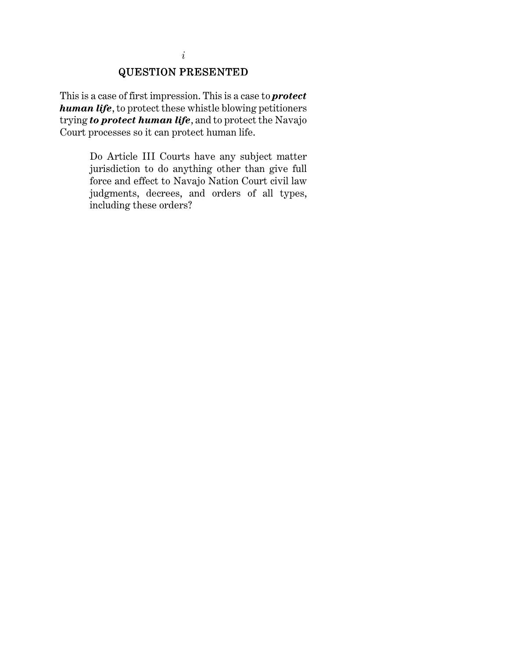# QUESTION PRESENTED QUESTION PRESENTED PRESENTED

This is a case of first impression. This is a case to *protect human life*, to protect these whistle blowing petitioners trying *to protect human life*, and to protect the Navajo Court processes so it can protect human life.

> Do Article III Courts have any subject matter jurisdiction to do anything other than give full force and effect to Navajo Nation Court civil law judgments, decrees, and orders of all types, including these orders?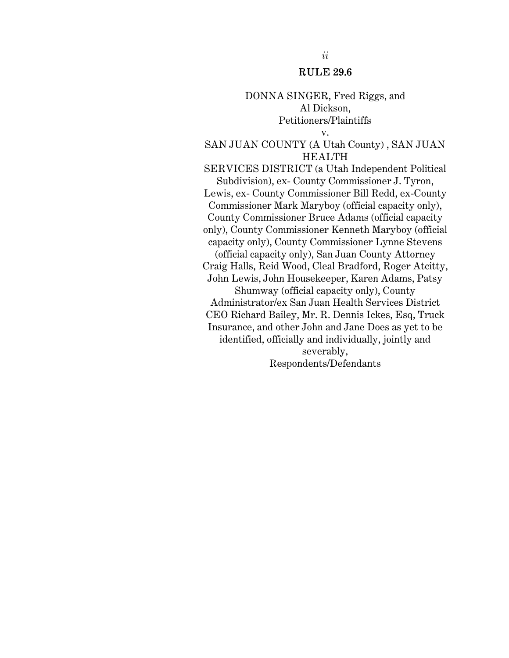#### RULE 29.6

#### DONNA SINGER, Fred Riggs, and Al Dickson, Petitioners/Plaintiffs

#### v.

#### SAN JUAN COUNTY (A Utah County) , SAN JUAN HEALTH

SERVICES DISTRICT (a Utah Independent Political Subdivision), ex- County Commissioner J. Tyron, Lewis, ex- County Commissioner Bill Redd, ex-County Commissioner Mark Maryboy (official capacity only), County Commissioner Bruce Adams (official capacity only), County Commissioner Kenneth Maryboy (official capacity only), County Commissioner Lynne Stevens (official capacity only), San Juan County Attorney Craig Halls, Reid Wood, Cleal Bradford, Roger Atcitty, John Lewis, John Housekeeper, Karen Adams, Patsy Shumway (official capacity only), County Administrator/ex San Juan Health Services District CEO Richard Bailey, Mr. R. Dennis Ickes, Esq, Truck Insurance, and other John and Jane Does as yet to be identified, officially and individually, jointly and severably, Respondents/Defendants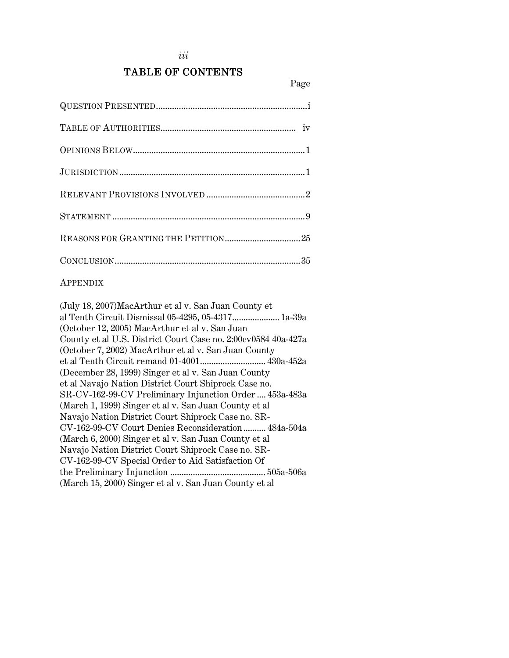# TABLE OF CONTENTS

#### APPENDIX

(July 18, 2007)MacArthur et al v. San Juan County et al Tenth Circuit Dismissal 05-4295, 05-4317..................... 1a-39a (October 12, 2005) MacArthur et al v. San Juan County et al U.S. District Court Case no. 2:00cv0584 40a-427a (October 7, 2002) MacArthur et al v. San Juan County et al Tenth Circuit remand 01-4001............................. 430a-452a (December 28, 1999) Singer et al v. San Juan County et al Navajo Nation District Court Shiprock Case no. SR-CV-162-99-CV Preliminary Injunction Order .... 453a-483a (March 1, 1999) Singer et al v. San Juan County et al Navajo Nation District Court Shiprock Case no. SR-CV-162-99-CV Court Denies Reconsideration .......... 484a-504a (March 6, 2000) Singer et al v. San Juan County et al Navajo Nation District Court Shiprock Case no. SR-CV-162-99-CV Special Order to Aid Satisfaction Of the Preliminary Injunction .......................................... 505a-506a (March 15, 2000) Singer et al v. San Juan County et al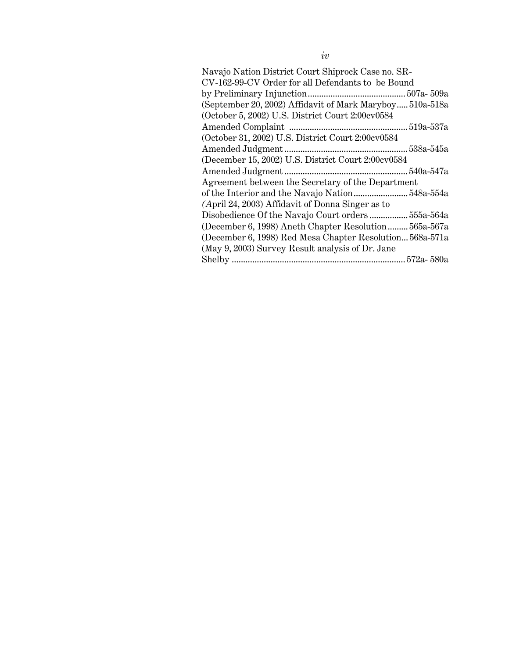| Navajo Nation District Court Shiprock Case no. SR-       |
|----------------------------------------------------------|
| CV-162-99-CV Order for all Defendants to be Bound        |
|                                                          |
| (September 20, 2002) Affidavit of Mark Maryboy 510a-518a |
| (October 5, 2002) U.S. District Court 2:00cv0584         |
|                                                          |
| (October 31, 2002) U.S. District Court 2:00cv0584        |
|                                                          |
| (December 15, 2002) U.S. District Court 2:00cv0584       |
|                                                          |
| Agreement between the Secretary of the Department        |
|                                                          |
| (April 24, 2003) Affidavit of Donna Singer as to         |
|                                                          |
| (December 6, 1998) Aneth Chapter Resolution 565a-567a    |
| (December 6, 1998) Red Mesa Chapter Resolution 568a-571a |
| (May 9, 2003) Survey Result analysis of Dr. Jane         |
|                                                          |
|                                                          |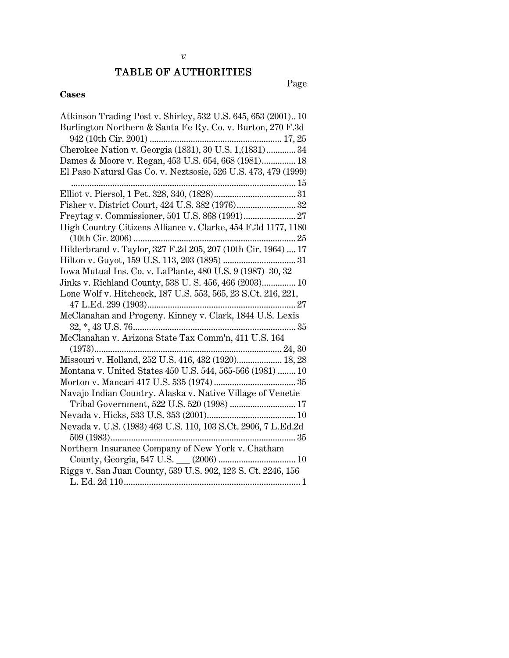#### TABLE OF AUTHORITIES

Page

#### **Cases**

Atkinson Trading Post v. Shirley, 532 U.S. 645, 653 (2001).. 10 Burlington Northern & Santa Fe Ry. Co. v. Burton, 270 F.3d 942 (10th Cir. 2001) .......................................................... 17, 25 Cherokee Nation v. Georgia (1831), 30 U.S. 1,(1831) ............. 34 Dames & Moore v. Regan, 453 U.S. 654, 668 (1981)............... 18 El Paso Natural Gas Co. v. Neztsosie, 526 U.S. 473, 479 (1999) .................................................................................................. 15 Elliot v. Piersol, 1 Pet. 328, 340, (1828).................................... 31 Fisher v. District Court, 424 U.S. 382 (1976).......................... 32 Freytag v. Commissioner, 501 U.S. 868 (1991)....................... 27 High Country Citizens Alliance v. Clarke, 454 F.3d 1177, 1180 (10th Cir. 2006) ....................................................................... 25 Hilderbrand v. Taylor, 327 F.2d 205, 207 (10th Cir. 1964) .... 17 Hilton v. Guyot, 159 U.S. 113, 203 (1895) ................................ 31 Iowa Mutual Ins. Co. v. LaPlante, 480 U.S. 9 (1987) 30, 32 Jinks v. Richland County, 538 U. S. 456, 466 (2003)............... 10 Lone Wolf v. Hitchcock, 187 U.S. 553, 565, 23 S.Ct. 216, 221, 47 L.Ed. 299 (1903)................................................................. 27 McClanahan and Progeny. Kinney v. Clark, 1844 U.S. Lexis 32, \*, 43 U.S. 76....................................................................... 35 McClanahan v. Arizona State Tax Comm'n, 411 U.S. 164 (1973).................................................................................. 24, 30 Missouri v. Holland, 252 U.S. 416, 432 (1920).................... 18, 28 Montana v. United States 450 U.S. 544, 565-566 (1981) ........ 10 Morton v. Mancari 417 U.S. 535 (1974) .................................... 35 Navajo Indian Country. Alaska v. Native Village of Venetie Tribal Government, 522 U.S. 520 (1998) ............................. 17 Nevada v. Hicks, 533 U.S. 353 (2001)....................................... 10 Nevada v. U.S. (1983) 463 U.S. 110, 103 S.Ct. 2906, 7 L.Ed.2d 509 (1983)................................................................................. 35 Northern Insurance Company of New York v. Chatham County, Georgia, 547 U.S. \_\_\_ (2006) .................................. 10 Riggs v. San Juan County, 539 U.S. 902, 123 S. Ct. 2246, 156 L. Ed. 2d 110............................................................................. 1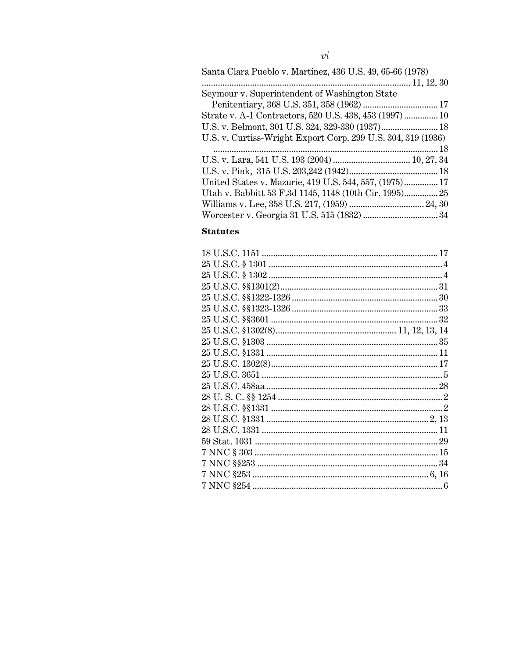| Santa Clara Pueblo v. Martinez, 436 U.S. 49, 65-66 (1978)    |  |
|--------------------------------------------------------------|--|
|                                                              |  |
| Seymour v. Superintendent of Washington State                |  |
|                                                              |  |
| Strate v. A-1 Contractors, 520 U.S. 438, 453 (1997)  10      |  |
| U.S. v. Belmont, 301 U.S. 324, 329-330 (1937) 18             |  |
| U.S. v. Curtiss-Wright Export Corp. 299 U.S. 304, 319 (1936) |  |
|                                                              |  |
|                                                              |  |
|                                                              |  |
| United States v. Mazurie, 419 U.S. 544, 557, (1975) 17       |  |
| Utah v. Babbitt 53 F.3d 1145, 1148 (10th Cir. 1995) 25       |  |
|                                                              |  |
|                                                              |  |
|                                                              |  |

#### **Statutes**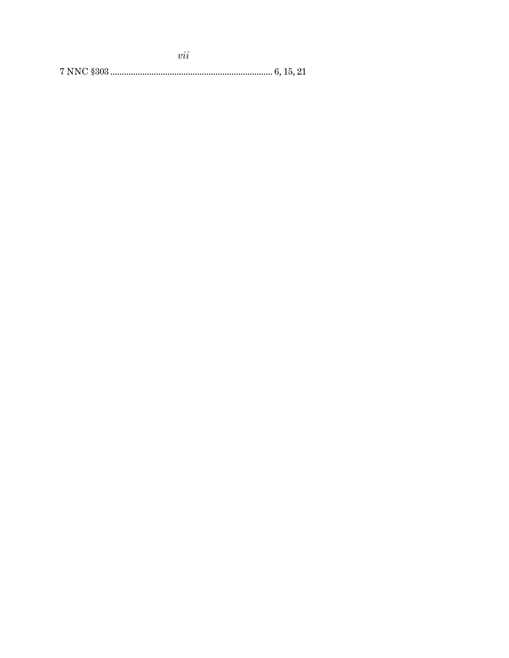| $\cdot$ $\cdot$<br>าาา |  |
|------------------------|--|
|                        |  |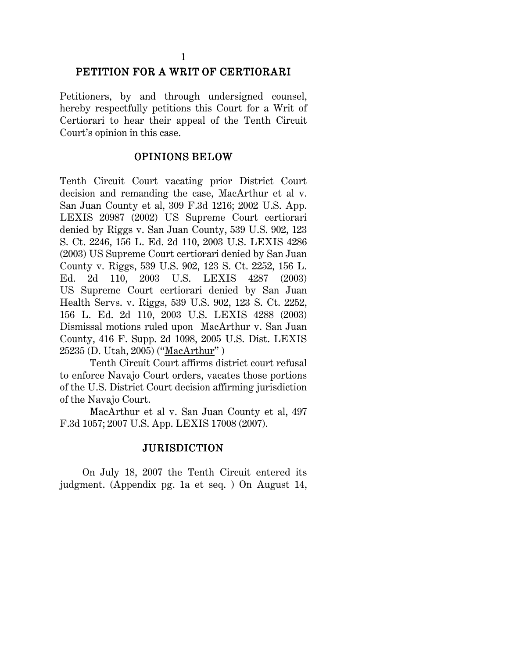# PETITION FOR A WRIT OF CERTIORARI

Petitioners, by and through undersigned counsel, hereby respectfully petitions this Court for a Writ of Certiorari to hear their appeal of the Tenth Circuit Court's opinion in this case.

## OPINIONS BELOW OPINIONS BELOW

Tenth Circuit Court vacating prior District Court decision and remanding the case, MacArthur et al v. San Juan County et al, 309 F.3d 1216; 2002 U.S. App. LEXIS 20987 (2002) US Supreme Court certiorari denied by Riggs v. San Juan County, 539 U.S. 902, 123 S. Ct. 2246, 156 L. Ed. 2d 110, 2003 U.S. LEXIS 4286 (2003) US Supreme Court certiorari denied by San Juan County v. Riggs, 539 U.S. 902, 123 S. Ct. 2252, 156 L. Ed. 2d 110, 2003 U.S. LEXIS 4287 (2003) US Supreme Court certiorari denied by San Juan Health Servs. v. Riggs, 539 U.S. 902, 123 S. Ct. 2252, 156 L. Ed. 2d 110, 2003 U.S. LEXIS 4288 (2003) Dismissal motions ruled upon MacArthur v. San Juan County, 416 F. Supp. 2d 1098, 2005 U.S. Dist. LEXIS 25235 (D. Utah, 2005) ("MacArthur" )

Tenth Circuit Court affirms district court refusal to enforce Navajo Court orders, vacates those portions of the U.S. District Court decision affirming jurisdiction of the Navajo Court.

MacArthur et al v. San Juan County et al, 497 F.3d 1057; 2007 U.S. App. LEXIS 17008 (2007).

#### JURISDICTION JURISDICTION

 On July 18, 2007 the Tenth Circuit entered its judgment. (Appendix pg. 1a et seq. ) On August 14,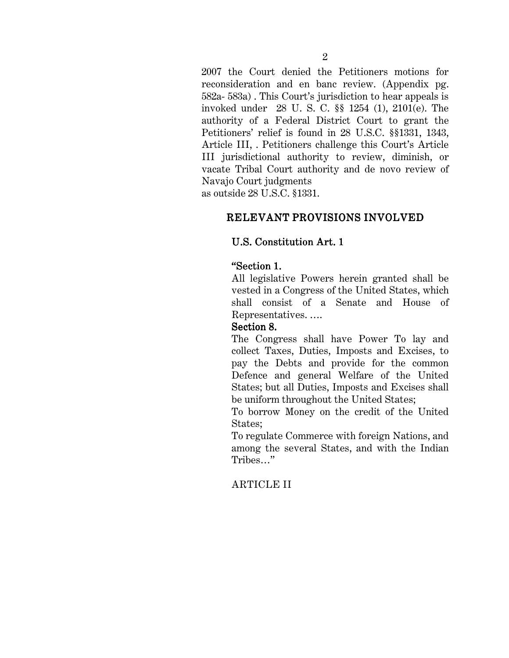2007 the Court denied the Petitioners motions for reconsideration and en banc review. (Appendix pg. 582a- 583a) . This Court's jurisdiction to hear appeals is invoked under 28 U. S. C. §§ 1254 (1), 2101(e). The authority of a Federal District Court to grant the Petitioners' relief is found in 28 U.S.C. §§1331, 1343, Article III, . Petitioners challenge this Court's Article III jurisdictional authority to review, diminish, or vacate Tribal Court authority and de novo review of Navajo Court judgments

as outside 28 U.S.C. §1331.

# RELEVANT PROVISIONS INVOLVED

## U.S. Constitution Art. 1

# "Section 1.

All legislative Powers herein granted shall be vested in a Congress of the United States, which shall consist of a Senate and House of Representatives. ….

#### Section 8.

The Congress shall have Power To lay and collect Taxes, Duties, Imposts and Excises, to pay the Debts and provide for the common Defence and general Welfare of the United States; but all Duties, Imposts and Excises shall be uniform throughout the United States;

To borrow Money on the credit of the United States;

To regulate Commerce with foreign Nations, and among the several States, and with the Indian Tribes…"

# ARTICLE II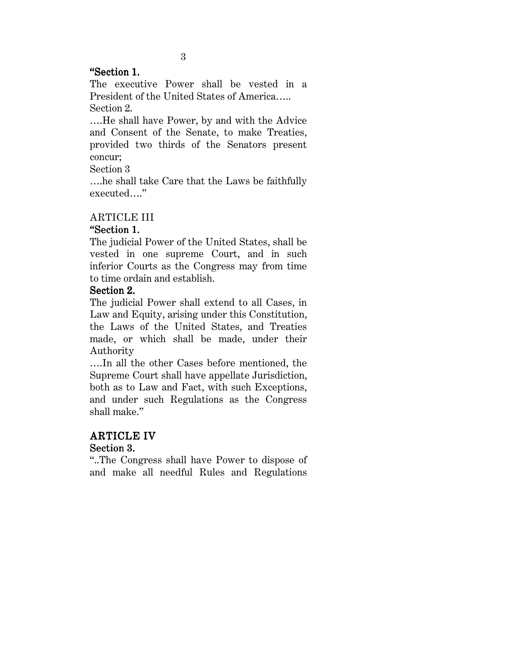#### "Section 1. "Section 1. "Section 1.

The executive Power shall be vested in a President of the United States of America….. Section 2.

….He shall have Power, by and with the Advice and Consent of the Senate, to make Treaties, provided two thirds of the Senators present concur;

Section 3

….he shall take Care that the Laws be faithfully executed…."

# ARTICLE III

# "Section 1. "Section 1. "Section 1.

The judicial Power of the United States, shall be vested in one supreme Court, and in such inferior Courts as the Congress may from time to time ordain and establish.

#### Section 2.

The judicial Power shall extend to all Cases, in Law and Equity, arising under this Constitution, the Laws of the United States, and Treaties made, or which shall be made, under their Authority

….In all the other Cases before mentioned, the Supreme Court shall have appellate Jurisdiction, both as to Law and Fact, with such Exceptions, and under such Regulations as the Congress shall make."

# **ARTICLE IV**

# Section 3.

"..The Congress shall have Power to dispose of and make all needful Rules and Regulations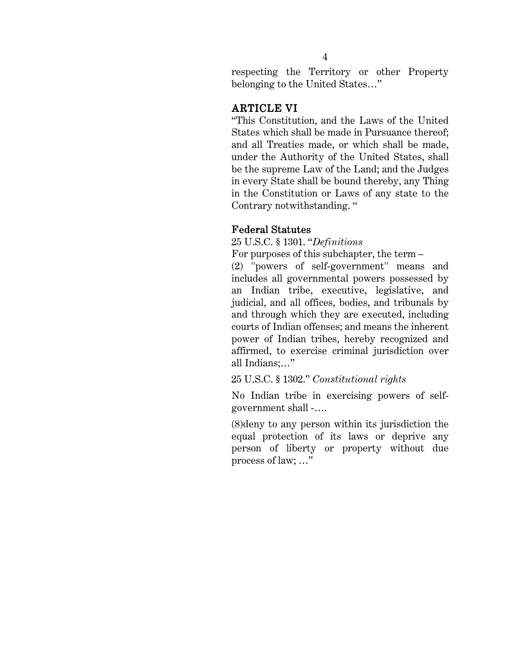respecting the Territory or other Property belonging to the United States…"

# **ARTICLE VI**

"This Constitution, and the Laws of the United States which shall be made in Pursuance thereof; and all Treaties made, or which shall be made, under the Authority of the United States, shall be the supreme Law of the Land; and the Judges in every State shall be bound thereby, any Thing in the Constitution or Laws of any state to the Contrary notwithstanding. "

## **Federal Statutes**

25 U.S.C. § 1301. "*Definitions*

For purposes of this subchapter, the term –

(2) ''powers of self-government'' means and includes all governmental powers possessed by an Indian tribe, executive, legislative, and judicial, and all offices, bodies, and tribunals by and through which they are executed, including courts of Indian offenses; and means the inherent power of Indian tribes, hereby recognized and affirmed, to exercise criminal jurisdiction over all Indians;…"

25 U.S.C. § 1302." *Constitutional rights*

No Indian tribe in exercising powers of selfgovernment shall -….

(8)deny to any person within its jurisdiction the equal protection of its laws or deprive any person of liberty or property without due process of law; …"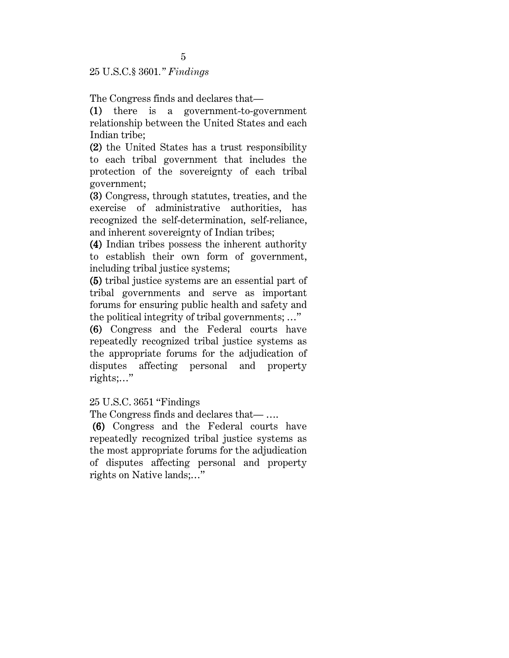25 U.S.C.§ 3601*." Findings* 

The Congress finds and declares that—

(1) there is a government-to-government (1) relationship between the United States and each Indian tribe;

(2) the United States has a trust responsibility (2) to each tribal government that includes the protection of the sovereignty of each tribal government;

(3) Congress, through statutes, treaties, and the (3) exercise of administrative authorities, has recognized the self-determination, self-reliance, and inherent sovereignty of Indian tribes;

(4) Indian tribes possess the inherent authority (4) to establish their own form of government, including tribal justice systems;

(5) tribal justice systems are an essential part of (5) tribal governments and serve as important forums for ensuring public health and safety and the political integrity of tribal governments; …"

(6) Congress and the Federal courts have (6) repeatedly recognized tribal justice systems as the appropriate forums for the adjudication of disputes affecting personal and property rights;…"

25 U.S.C. 3651 "Findings

The Congress finds and declares that— ….

 (6) Congress and the Federal courts have (6) repeatedly recognized tribal justice systems as the most appropriate forums for the adjudication of disputes affecting personal and property rights on Native lands;…"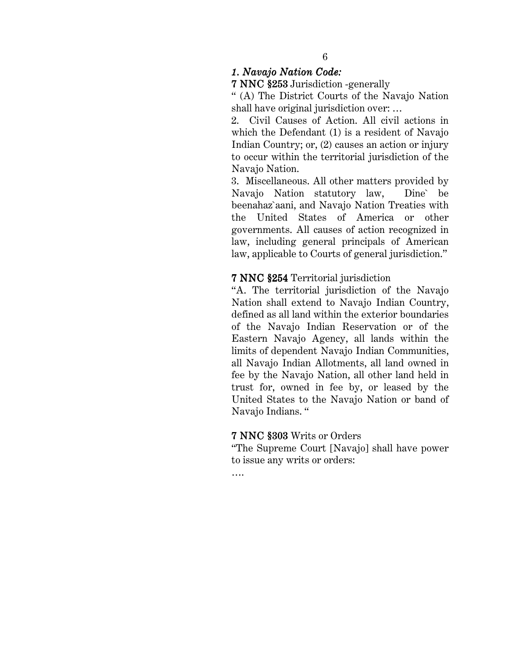*1. Navajo Nation Code:* 

7 NNC §253 Jurisdiction -generally

" (A) The District Courts of the Navajo Nation shall have original jurisdiction over: …

2. Civil Causes of Action. All civil actions in which the Defendant (1) is a resident of Navajo Indian Country; or, (2) causes an action or injury to occur within the territorial jurisdiction of the Navajo Nation.

3. Miscellaneous. All other matters provided by Navajo Nation statutory law, Dine` be beenahaz`aani, and Navajo Nation Treaties with the United States of America or other governments. All causes of action recognized in law, including general principals of American law, applicable to Courts of general jurisdiction."

#### 7 NNC §254 Territorial jurisdiction

"A. The territorial jurisdiction of the Navajo Nation shall extend to Navajo Indian Country, defined as all land within the exterior boundaries of the Navajo Indian Reservation or of the Eastern Navajo Agency, all lands within the limits of dependent Navajo Indian Communities, all Navajo Indian Allotments, all land owned in fee by the Navajo Nation, all other land held in trust for, owned in fee by, or leased by the United States to the Navajo Nation or band of Navajo Indians. "

#### 7 NNC §303 Writs or Orders

"The Supreme Court [Navajo] shall have power to issue any writs or orders:

….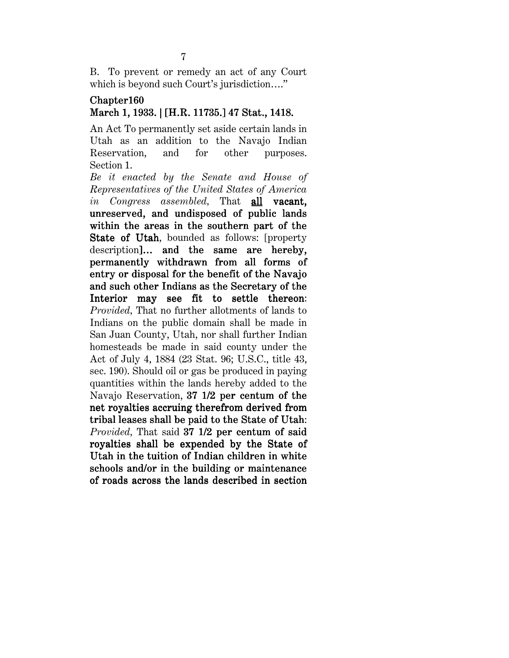B. To prevent or remedy an act of any Court which is beyond such Court's jurisdiction...."

#### Chapter160 March 1, 1933. | [H.R. 11735.] 47 Stat., 1418.

An Act To permanently set aside certain lands in Utah as an addition to the Navajo Indian Reservation, and for other purposes. Section 1.

*Be it enacted by the Senate and House of Representatives of the United States of America in Congress assembled*, That all vacant. unreserved, and undisposed of public lands within the areas in the southern part of the State of Utah, bounded as follows: [property] description]... and the same are hereby, permanently withdrawn from all forms of entry or disposal for the benefit of the Navajo and such other Indians as the Secretary of the Interior may see fit to settle thereon: *Provided,* That no further allotments of lands to Indians on the public domain shall be made in San Juan County, Utah, nor shall further Indian homesteads be made in said county under the Act of July 4, 1884 (23 Stat. 96; U.S.C., title 43, sec. 190). Should oil or gas be produced in paying quantities within the lands hereby added to the Navajo Reservation, 37 1/2 per centum of the net royalties accruing therefrom derived from tribal leases shall be paid to the State of Utah: *Provided*, That said 37 1/2 per centum of said royalties shall be expended by the State of Utah in the tuition of Indian children in white schools and/or in the building or maintenance of roads across the lands described in section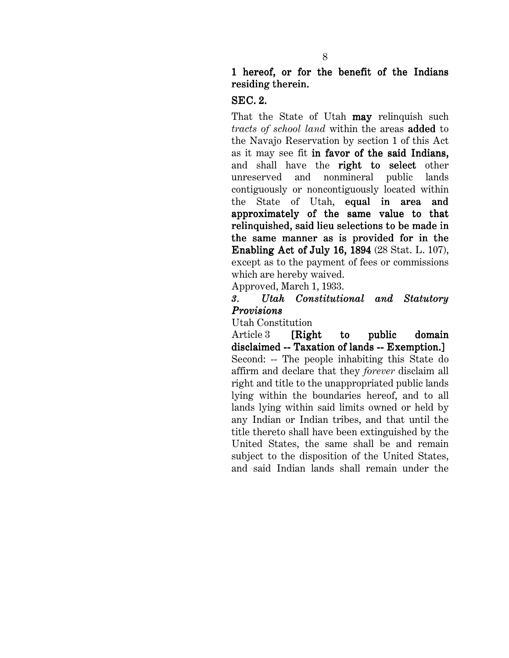# 1 hereof, or for the benefit of the Indians residing therein.

#### SEC. 2.

That the State of Utah **may** relinquish such *tracts of school land* within the areas added to the Navajo Reservation by section 1 of this Act as it may see fit in favor of the said Indians, and shall have the right to select other unreserved and nonmineral public lands contiguously or noncontiguously located within the State of Utah, equal in area and approximately of the same value to that relinquished, said lieu selections to be made in the same manner as is provided for in the Enabling Act of July 16, 1894 (28 Stat. L. 107), except as to the payment of fees or commissions which are hereby waived.

Approved, March 1, 1933.

# *3. Utah Constitutional and Statutory 3. Constitutional and Provisions*

Utah Constitution

Article  $3$  [Right to public domain disclaimed -- Taxation of lands -- Exemption.] Second: -- The people inhabiting this State do affirm and declare that they *forever* disclaim all right and title to the unappropriated public lands lying within the boundaries hereof, and to all lands lying within said limits owned or held by any Indian or Indian tribes, and that until the title thereto shall have been extinguished by the United States, the same shall be and remain subject to the disposition of the United States, and said Indian lands shall remain under the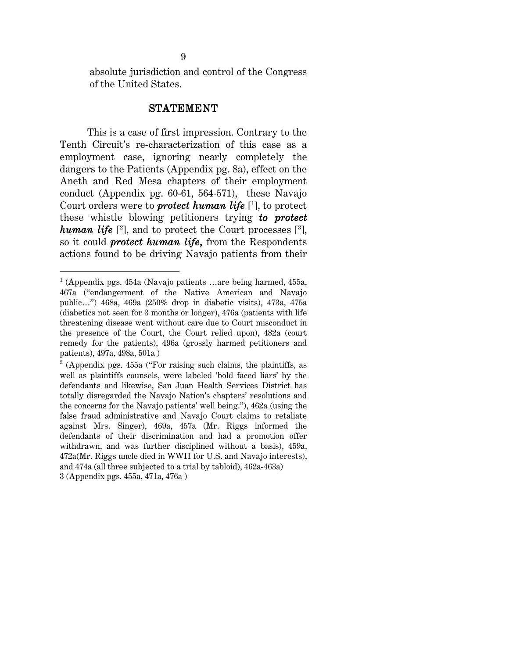absolute jurisdiction and control of the Congress of the United States.

#### STATEMENT

 This is a case of first impression. Contrary to the Tenth Circuit's re-characterization of this case as a employment case, ignoring nearly completely the dangers to the Patients (Appendix pg. 8a), effect on the Aneth and Red Mesa chapters of their employment conduct (Appendix pg. 60-61, 564-571), these Navajo Court orders were to *protect human life* [1], to protect these whistle blowing petitioners trying **to protect**  $human\ life$  [ $2$ ], and to protect the Court processes  $[3]$ , so it could *protect human life*, from the Respondents actions found to be driving Navajo patients from their

 $\overline{a}$ 

<sup>1</sup> (Appendix pgs. 454a (Navajo patients …are being harmed, 455a, 467a ("endangerment of the Native American and Navajo public…") 468a, 469a (250% drop in diabetic visits), 473a, 475a (diabetics not seen for 3 months or longer), 476a (patients with life threatening disease went without care due to Court misconduct in the presence of the Court, the Court relied upon), 482a (court remedy for the patients), 496a (grossly harmed petitioners and patients), 497a, 498a, 501a )

 $2$  (Appendix pgs. 455a ("For raising such claims, the plaintiffs, as well as plaintiffs counsels, were labeled 'bold faced liars' by the defendants and likewise, San Juan Health Services District has totally disregarded the Navajo Nation's chapters' resolutions and the concerns for the Navajo patients' well being."), 462a (using the false fraud administrative and Navajo Court claims to retaliate against Mrs. Singer), 469a, 457a (Mr. Riggs informed the defendants of their discrimination and had a promotion offer withdrawn, and was further disciplined without a basis), 459a, 472a(Mr. Riggs uncle died in WWII for U.S. and Navajo interests), and 474a (all three subjected to a trial by tabloid), 462a-463a) 3 (Appendix pgs. 455a, 471a, 476a )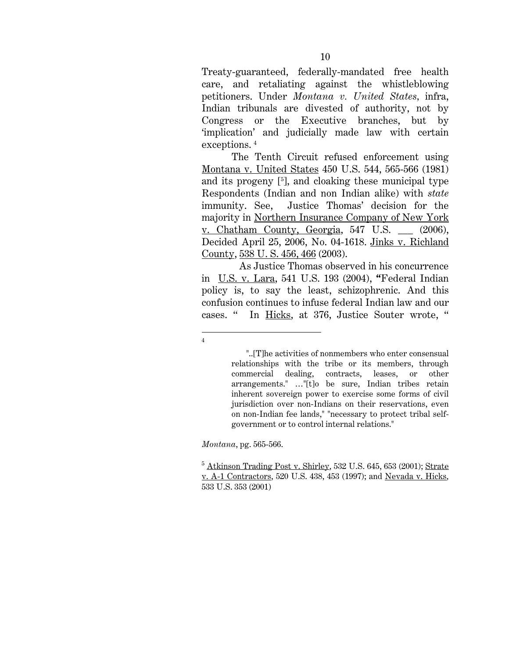Treaty-guaranteed, federally-mandated free health care, and retaliating against the whistleblowing petitioners. Under *Montana v. United States*, infra, Indian tribunals are divested of authority, not by Congress or the Executive branches, but by 'implication' and judicially made law with certain exceptions.<sup>4</sup>

 The Tenth Circuit refused enforcement using Montana v. United States 450 U.S. 544, 565-566 (1981) and its progeny [5 ], and cloaking these municipal type Respondents (Indian and non Indian alike) with *state* immunity. See, Justice Thomas' decision for the majority in Northern Insurance Company of New York v. Chatham County, Georgia, 547 U.S. \_\_\_ (2006), Decided April 25, 2006, No. 04-1618. Jinks v. Richland County, 538 U. S. 456, 466 (2003).

 As Justice Thomas observed in his concurrence in U.S. v. Lara, 541 U.S. 193 (2004), " Federal Indian policy is, to say the least, schizophrenic. And this confusion continues to infuse federal Indian law and our cases. " In Hicks, at 376, Justice Souter wrote, "

*Montana*, pg. 565-566.

 $\overline{a}$ 4

 <sup>&</sup>quot;..[T]he activities of nonmembers who enter consensual relationships with the tribe or its members, through commercial dealing, contracts, leases, or other arrangements." …"[t]o be sure, Indian tribes retain inherent sovereign power to exercise some forms of civil jurisdiction over non-Indians on their reservations, even on non-Indian fee lands," "necessary to protect tribal selfgovernment or to control internal relations."

 $^5$  Atkinson Trading Post v. Shirley, 532 U.S. 645, 653 (2001); Strate v. A-1 Contractors, 520 U.S. 438, 453 (1997); and Nevada v. Hicks, 533 U.S. 353 (2001)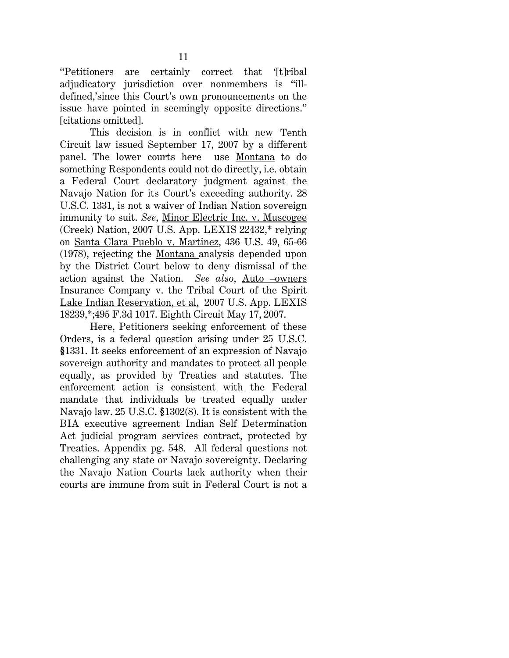''Petitioners are certainly correct that '[t]ribal adjudicatory jurisdiction over nonmembers is "illdefined,'since this Court's own pronouncements on the issue have pointed in seemingly opposite directions.'' [citations omitted].

This decision is in conflict with new Tenth Circuit law issued September 17, 2007 by a different panel. The lower courts here use Montana to do something Respondents could not do directly, i.e. obtain a Federal Court declaratory judgment against the Navajo Nation for its Court's exceeding authority. 28 U.S.C. 1331, is not a waiver of Indian Nation sovereign immunity to suit. *See*, Minor Electric Inc. v. Muscogee (Creek) Nation, 2007 U.S. App. LEXIS 22432,\* relying on Santa Clara Pueblo v. Martinez, 436 U.S. 49, 65-66 (1978), rejecting the Montana analysis depended upon by the District Court below to deny dismissal of the action against the Nation. *See also*, Auto –owners Insurance Company v. the Tribal Court of the Spirit Lake Indian Reservation, et al, 2007 U.S. App. LEXIS 18239,\*;495 F.3d 1017. Eighth Circuit May 17, 2007.

Here, Petitioners seeking enforcement of these Orders, is a federal question arising under 25 U.S.C. §1331. It seeks enforcement of an expression of Navajo § sovereign authority and mandates to protect all people equally, as provided by Treaties and statutes. The enforcement action is consistent with the Federal mandate that individuals be treated equally under Navajo law. 25 U.S.C. §1302(8). It is consistent with the BIA executive agreement Indian Self Determination Act judicial program services contract, protected by Treaties. Appendix pg. 548. All federal questions not challenging any state or Navajo sovereignty. Declaring the Navajo Nation Courts lack authority when their courts are immune from suit in Federal Court is not a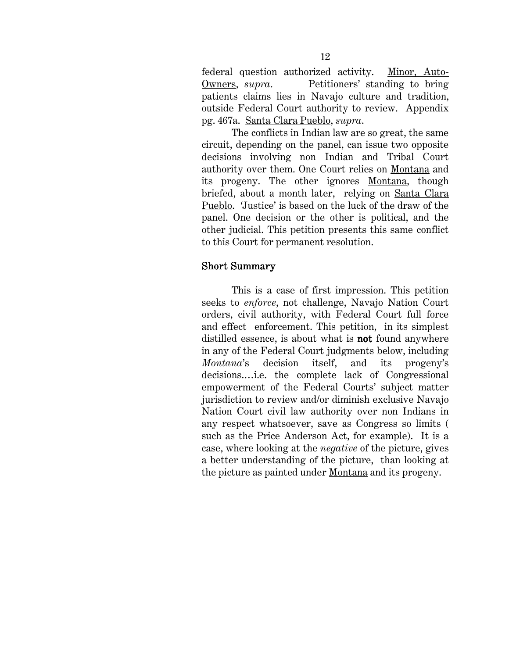federal question authorized activity. Minor, Auto-Owners, *supra*. Petitioners' standing to bring patients claims lies in Navajo culture and tradition, outside Federal Court authority to review. Appendix pg. 467a. Santa Clara Pueblo, *supra*.

 The conflicts in Indian law are so great, the same circuit, depending on the panel, can issue two opposite decisions involving non Indian and Tribal Court authority over them. One Court relies on Montana and its progeny. The other ignores Montana, though briefed, about a month later, relying on Santa Clara Pueblo. 'Justice' is based on the luck of the draw of the panel. One decision or the other is political, and the other judicial. This petition presents this same conflict to this Court for permanent resolution.

#### Short Summary

 This is a case of first impression. This petition seeks to *enforce*, not challenge, Navajo Nation Court orders, civil authority, with Federal Court full force and effect enforcement. This petition, in its simplest distilled essence, is about what is **not** found anywhere in any of the Federal Court judgments below, including *Montana*'s decision itself, and its progeny's decisions.…i.e. the complete lack of Congressional empowerment of the Federal Courts' subject matter jurisdiction to review and/or diminish exclusive Navajo Nation Court civil law authority over non Indians in any respect whatsoever, save as Congress so limits ( such as the Price Anderson Act, for example). It is a case, where looking at the *negative* of the picture, gives a better understanding of the picture, than looking at the picture as painted under Montana and its progeny.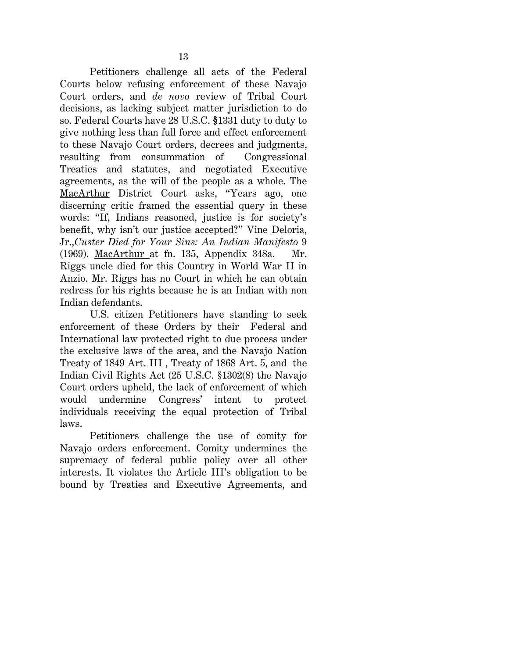Petitioners challenge all acts of the Federal Courts below refusing enforcement of these Navajo Court orders, and *de novo* review of Tribal Court decisions, as lacking subject matter jurisdiction to do so. Federal Courts have 28 U.S.C. §1331 duty to duty to give nothing less than full force and effect enforcement to these Navajo Court orders, decrees and judgments, resulting from consummation of Congressional Treaties and statutes, and negotiated Executive agreements, as the will of the people as a whole. The MacArthur District Court asks, "Years ago, one discerning critic framed the essential query in these words: ''If, Indians reasoned, justice is for society's benefit, why isn't our justice accepted?'' Vine Deloria, Jr.,*Custer Died for Your Sins: An Indian Manifesto* 9 (1969). MacArthur at fn. 135, Appendix 348a. Mr. Riggs uncle died for this Country in World War II in Anzio. Mr. Riggs has no Court in which he can obtain redress for his rights because he is an Indian with non Indian defendants.

 U.S. citizen Petitioners have standing to seek enforcement of these Orders by their Federal and International law protected right to due process under the exclusive laws of the area, and the Navajo Nation Treaty of 1849 Art. III , Treaty of 1868 Art. 5, and the Indian Civil Rights Act (25 U.S.C. §1302(8) the Navajo Court orders upheld, the lack of enforcement of which would undermine Congress' intent to protect individuals receiving the equal protection of Tribal laws.

 Petitioners challenge the use of comity for Navajo orders enforcement. Comity undermines the supremacy of federal public policy over all other interests. It violates the Article III's obligation to be bound by Treaties and Executive Agreements, and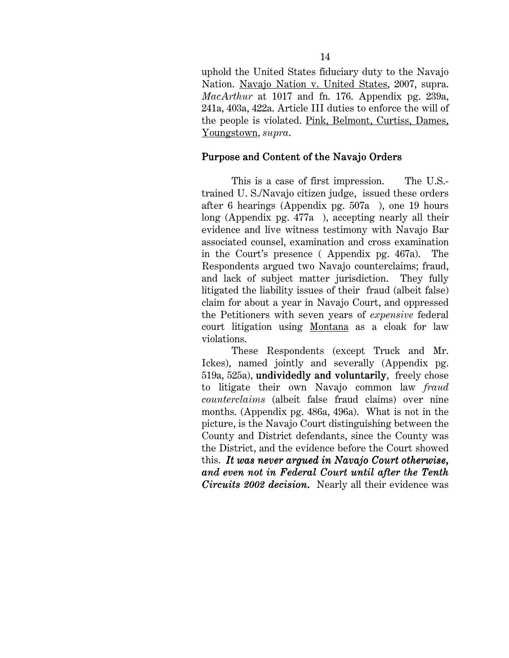uphold the United States fiduciary duty to the Navajo Nation. Navajo Nation v. United States, 2007, supra. *MacArthur* at 1017 and fn. 176. Appendix pg. 239a, 241a, 403a, 422a. Article III duties to enforce the will of the people is violated. Pink, Belmont, Curtiss, Dames, Youngstown, *supra*.

## Purpose and Content of the Navajo Orders

This is a case of first impression. The U.S.trained U. S./Navajo citizen judge, issued these orders after 6 hearings (Appendix pg. 507a ), one 19 hours long (Appendix pg. 477a ), accepting nearly all their evidence and live witness testimony with Navajo Bar associated counsel, examination and cross examination in the Court's presence ( Appendix pg. 467a). The Respondents argued two Navajo counterclaims; fraud, and lack of subject matter jurisdiction. They fully litigated the liability issues of their fraud (albeit false) claim for about a year in Navajo Court, and oppressed the Petitioners with seven years of *expensive* federal court litigation using Montana as a cloak for law violations.

These Respondents (except Truck and Mr. Ickes), named jointly and severally (Appendix pg. 519a, 525a), undividedly and voluntarily, freely chose to litigate their own Navajo common law *fraud counterclaims* (albeit false fraud claims) over nine months. (Appendix pg. 486a, 496a). What is not in the picture, is the Navajo Court distinguishing between the County and District defendants, since the County was the District, and the evidence before the Court showed this. It was never argued in Navajo Court otherwise, *and even not in Federal Court until after the Tenth and even not in Federal Court until after the Tenth Circuits 2002 decision*. Nearly all their evidence was .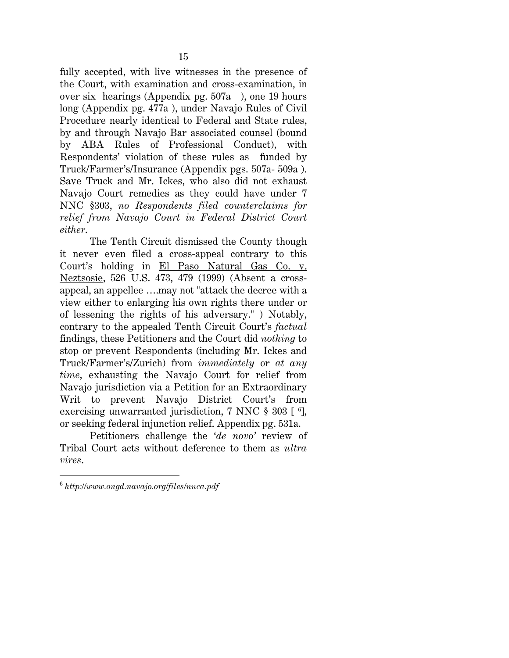fully accepted, with live witnesses in the presence of the Court, with examination and cross-examination, in over six hearings (Appendix pg. 507a ), one 19 hours long (Appendix pg. 477a ), under Navajo Rules of Civil Procedure nearly identical to Federal and State rules, by and through Navajo Bar associated counsel (bound by ABA Rules of Professional Conduct), with Respondents' violation of these rules as funded by Truck/Farmer's/Insurance (Appendix pgs. 507a- 509a ). Save Truck and Mr. Ickes, who also did not exhaust Navajo Court remedies as they could have under 7 NNC §303, *no Respondents filed counterclaims for relief from Navajo Court in Federal District Court either*.

The Tenth Circuit dismissed the County though it never even filed a cross-appeal contrary to this Court's holding in El Paso Natural Gas Co. v. Neztsosie, 526 U.S. 473, 479 (1999) (Absent a crossappeal, an appellee ….may not "attack the decree with a view either to enlarging his own rights there under or of lessening the rights of his adversary." ) Notably, contrary to the appealed Tenth Circuit Court's *factual* findings, these Petitioners and the Court did *nothing* to stop or prevent Respondents (including Mr. Ickes and Truck/Farmer's/Zurich) from *immediately* or *at any time*, exhausting the Navajo Court for relief from Navajo jurisdiction via a Petition for an Extraordinary Writ to prevent Navajo District Court's from exercising unwarranted jurisdiction, 7 NNC § 303 [ <sup>6</sup>], or seeking federal injunction relief. Appendix pg. 531a.

 Petitioners challenge the '*de novo'* review of Tribal Court acts without deference to them as *ultra vires*.

l

<sup>6</sup> *http://www.ongd.navajo.org/files/nnca.pdf*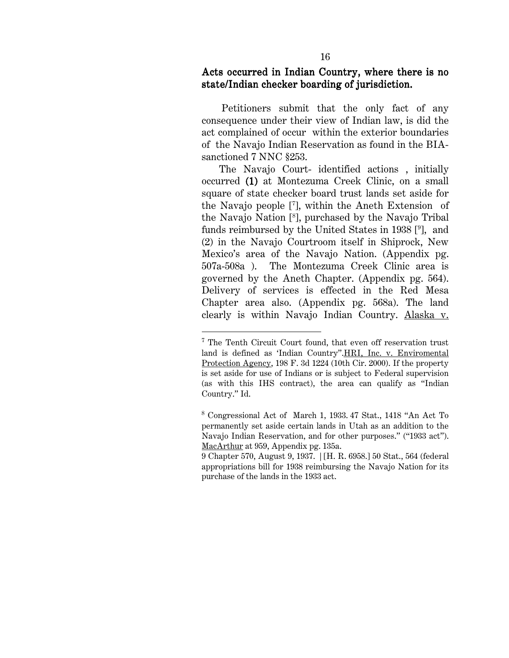#### Acts occurred in Indian Country, where there is no state/Indian checker boarding of iurisdiction.

 Petitioners submit that the only fact of any consequence under their view of Indian law, is did the act complained of occur within the exterior boundaries of the Navajo Indian Reservation as found in the BIAsanctioned 7 NNC §253.

 The Navajo Court- identified actions , initially occurred (1) at Montezuma Creek Clinic, on a small square of state checker board trust lands set aside for the Navajo people [7 ], within the Aneth Extension of the Navajo Nation [8 ], purchased by the Navajo Tribal funds reimbursed by the United States in 1938 [9 ], and (2) in the Navajo Courtroom itself in Shiprock, New Mexico's area of the Navajo Nation. (Appendix pg. 507a-508a ). The Montezuma Creek Clinic area is governed by the Aneth Chapter. (Appendix pg. 564). Delivery of services is effected in the Red Mesa Chapter area also. (Appendix pg. 568a). The land clearly is within Navajo Indian Country. Alaska v.

l

<sup>7</sup> The Tenth Circuit Court found, that even off reservation trust land is defined as 'Indian Country".HRI, Inc. v. Enviromental Protection Agency, 198 F. 3d 1224 (10th Cir. 2000). If the property is set aside for use of Indians or is subject to Federal supervision (as with this IHS contract), the area can qualify as "Indian Country." Id.

<sup>8</sup> Congressional Act of March 1, 1933. 47 Stat., 1418 "An Act To permanently set aside certain lands in Utah as an addition to the Navajo Indian Reservation, and for other purposes." ("1933 act"). MacArthur at 959, Appendix pg. 135a.

<sup>9</sup> Chapter 570, August 9, 1937. | [H. R. 6958.] 50 Stat., 564 (federal appropriations bill for 1938 reimbursing the Navajo Nation for its purchase of the lands in the 1933 act.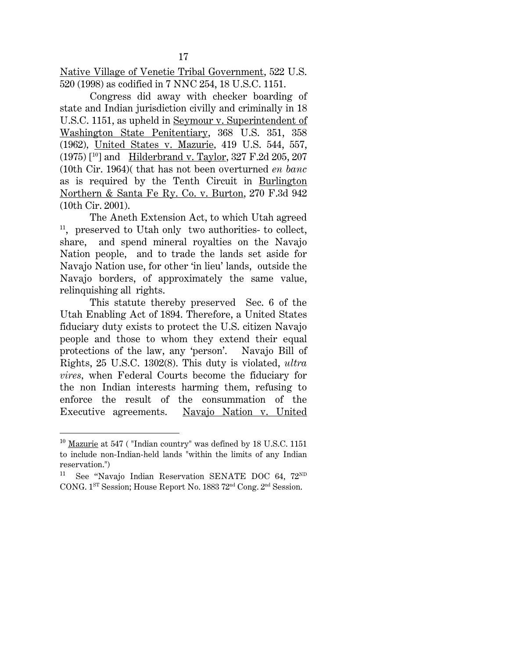Native Village of Venetie Tribal Government, 522 U.S. 520 (1998) as codified in 7 NNC 254, 18 U.S.C. 1151.

Congress did away with checker boarding of state and Indian jurisdiction civilly and criminally in 18 U.S.C. 1151, as upheld in Seymour v. Superintendent of Washington State Penitentiary, 368 U.S. 351, 358 (1962)*,* United States v. Mazurie*,* 419 U.S. 544, 557, (1975) [10] andHilderbrand v. Taylor, 327 F.2d 205, 207 (10th Cir. 1964)( that has not been overturned *en banc*  as is required by the Tenth Circuit in Burlington Northern & Santa Fe Ry. Co. v. Burton, 270 F.3d 942 (10th Cir. 2001).

 The Aneth Extension Act, to which Utah agreed 11, preserved to Utah only two authorities- to collect, share, and spend mineral royalties on the Navajo Nation people, and to trade the lands set aside for Navajo Nation use, for other 'in lieu' lands, outside the Navajo borders, of approximately the same value, relinquishing all rights.

This statute thereby preserved Sec. 6 of the Utah Enabling Act of 1894. Therefore, a United States fiduciary duty exists to protect the U.S. citizen Navajo people and those to whom they extend their equal protections of the law, any 'person'. Navajo Bill of Rights, 25 U.S.C. 1302(8). This duty is violated, *ultra vires,* when Federal Courts become the fiduciary for the non Indian interests harming them, refusing to enforce the result of the consummation of the Executive agreements. Navajo Nation v. United

 $\overline{a}$ 

 $10$  Mazurie at 547 ("Indian country" was defined by 18 U.S.C. 1151 to include non-Indian-held lands "within the limits of any Indian reservation.")

<sup>&</sup>lt;sup>11</sup> See "Navajo Indian Reservation SENATE DOC 64,  $72^{ND}$ CONG. 1ST Session; House Report No. 1883 72nd Cong. 2nd Session.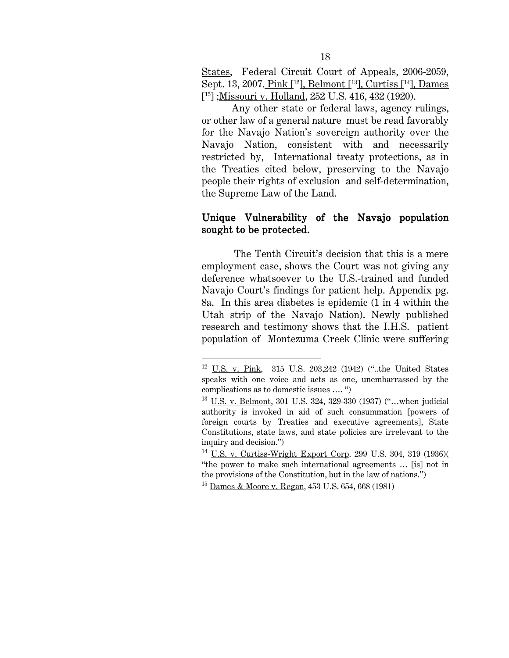States, Federal Circuit Court of Appeals, 2006-2059, Sept. 13, 2007. Pink [<sup>12</sup>], Belmont [<sup>13</sup>], Curtiss [<sup>14</sup>], Dames [15] ;Missouri v. Holland, 252 U.S. 416, 432 (1920).

Any other state or federal laws, agency rulings, or other law of a general nature must be read favorably for the Navajo Nation's sovereign authority over the Navajo Nation, consistent with and necessarily restricted by, International treaty protections, as in the Treaties cited below, preserving to the Navajo people their rights of exclusion and self-determination, the Supreme Law of the Land.

#### Unique Vulnerability of the Navajo population sought to be protected.

 The Tenth Circuit's decision that this is a mere employment case, shows the Court was not giving any deference whatsoever to the U.S.-trained and funded Navajo Court's findings for patient help. Appendix pg. 8a. In this area diabetes is epidemic (1 in 4 within the Utah strip of the Navajo Nation). Newly published research and testimony shows that the I.H.S. patient population of Montezuma Creek Clinic were suffering

 $\overline{\phantom{a}}$ 

 $12$  U.S. v. Pink, 315 U.S. 203,242 (1942) ("..the United States speaks with one voice and acts as one, unembarrassed by the complications as to domestic issues …. ")

<sup>13</sup> U.S. v. Belmont, 301 U.S. 324, 329-330 (1937) ("…when judicial authority is invoked in aid of such consummation [powers of foreign courts by Treaties and executive agreements], State Constitutions, state laws, and state policies are irrelevant to the inquiry and decision.")

<sup>14</sup> U.S. v. Curtiss-Wright Export Corp. 299 U.S. 304, 319 (1936)( "the power to make such international agreements … [is] not in the provisions of the Constitution, but in the law of nations.")

<sup>15</sup> Dames & Moore v. Regan, 453 U.S. 654, 668 (1981)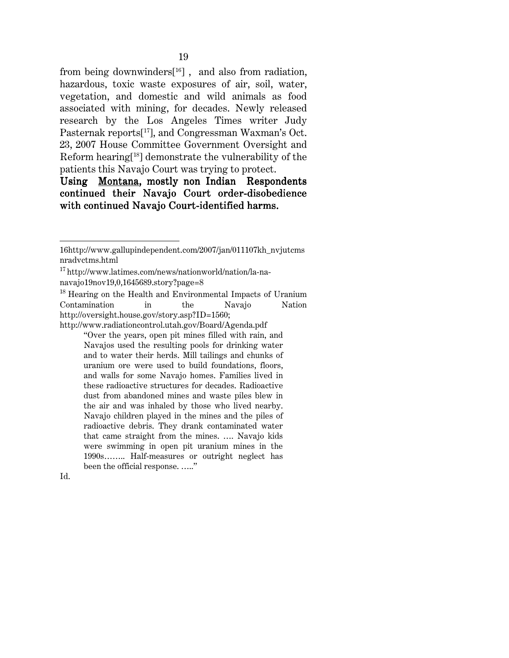from being downwinders<sup>[16]</sup>, and also from radiation, hazardous, toxic waste exposures of air, soil, water, vegetation, and domestic and wild animals as food associated with mining, for decades. Newly released research by the Los Angeles Times writer Judy Pasternak reports[17], and Congressman Waxman's Oct. 23, 2007 House Committee Government Oversight and Reform hearing[18] demonstrate the vulnerability of the patients this Navajo Court was trying to protect.

# Using Montana, mostly non Indian Respondents continued their Navajo Court order-disobedience with continued Navajo Court-identified harms.

<sup>18</sup> Hearing on the Health and Environmental Impacts of Uranium Contamination in the Navajo Nation http://oversight.house.gov/story.asp?ID=1560; http://www.radiationcontrol.utah.gov/Board/Agenda.pdf

"Over the years, open pit mines filled with rain, and Navajos used the resulting pools for drinking water and to water their herds. Mill tailings and chunks of uranium ore were used to build foundations, floors, and walls for some Navajo homes. Families lived in these radioactive structures for decades. Radioactive dust from abandoned mines and waste piles blew in the air and was inhaled by those who lived nearby. Navajo children played in the mines and the piles of radioactive debris. They drank contaminated water that came straight from the mines. …. Navajo kids were swimming in open pit uranium mines in the 1990s…….. Half-measures or outright neglect has been the official response. ….."

 $\overline{\phantom{a}}$ 

<sup>16</sup>http://www.gallupindependent.com/2007/jan/011107kh\_nvjutcms nradvctms.html

<sup>17</sup> http://www.latimes.com/news/nationworld/nation/la-nanavajo19nov19,0,1645689.story?page=8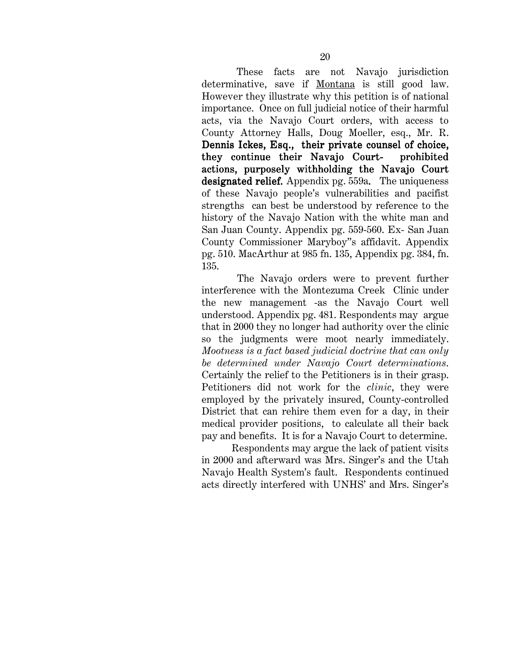These facts are not Navajo jurisdiction determinative, save if Montana is still good law. However they illustrate why this petition is of national importance. Once on full judicial notice of their harmful acts, via the Navajo Court orders, with access to County Attorney Halls, Doug Moeller, esq., Mr. R. Dennis Ickes, Esq., their private counsel of choice, they continue their Navajo Court- prohibited actions, purposely withholding the Navajo Court designated relief*.* Appendix pg. 559a*.* The uniqueness of these Navajo people's vulnerabilities and pacifist strengths can best be understood by reference to the history of the Navajo Nation with the white man and San Juan County. Appendix pg. 559-560. Ex- San Juan County Commissioner Maryboy''s affidavit. Appendix pg. 510. MacArthur at 985 fn. 135, Appendix pg. 384, fn. 135.

The Navajo orders were to prevent further interference with the Montezuma Creek Clinic under the new management -as the Navajo Court well understood. Appendix pg. 481. Respondents may argue that in 2000 they no longer had authority over the clinic so the judgments were moot nearly immediately. *Mootness is a fact based judicial doctrine that can only be determined under Navajo Court determinations*. Certainly the relief to the Petitioners is in their grasp. Petitioners did not work for the *clinic*, they were employed by the privately insured, County-controlled District that can rehire them even for a day, in their medical provider positions, to calculate all their back pay and benefits. It is for a Navajo Court to determine.

Respondents may argue the lack of patient visits in 2000 and afterward was Mrs. Singer's and the Utah Navajo Health System's fault. Respondents continued acts directly interfered with UNHS' and Mrs. Singer's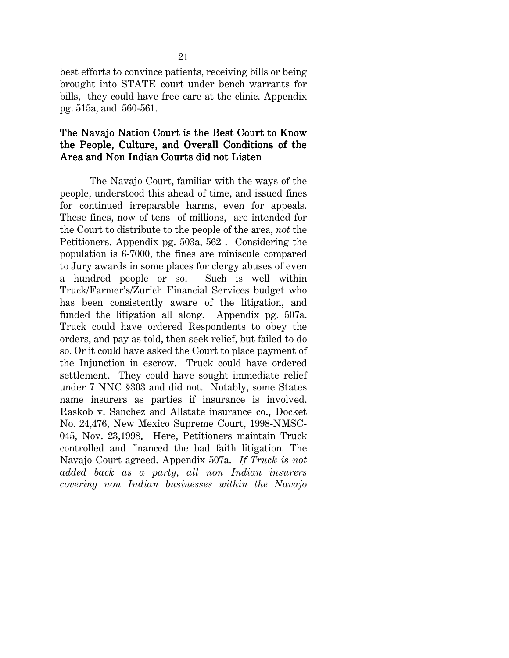best efforts to convince patients, receiving bills or being brought into STATE court under bench warrants for bills, they could have free care at the clinic. Appendix pg. 515a, and 560-561.

#### The Navajo Nation Court is the Best Court to Know the People, Culture, and Overall Conditions of the Area and Non Indian Courts did not Listen

The Navajo Court, familiar with the ways of the people, understood this ahead of time, and issued fines for continued irreparable harms, even for appeals. These fines, now of tens of millions, are intended for the Court to distribute to the people of the area, *not* the Petitioners. Appendix pg. 503a, 562 . Considering the population is 6-7000, the fines are miniscule compared to Jury awards in some places for clergy abuses of even a hundred people or so. Such is well within Truck/Farmer's/Zurich Financial Services budget who has been consistently aware of the litigation, and funded the litigation all along. Appendix pg. 507a. Truck could have ordered Respondents to obey the orders, and pay as told, then seek relief, but failed to do so. Or it could have asked the Court to place payment of the Injunction in escrow. Truck could have ordered settlement. They could have sought immediate relief under 7 NNC §303 and did not. Notably, some States name insurers as parties if insurance is involved. Raskob v. Sanchez and Allstate insurance co., Docket No. 24,476, New Mexico Supreme Court, 1998-NMSC-045, Nov. 23,1998. Here, Petitioners maintain Truck controlled and financed the bad faith litigation. The Navajo Court agreed. Appendix 507a. *If Truck is not added back as a party, all non Indian insurers covering non Indian businesses within the Navajo*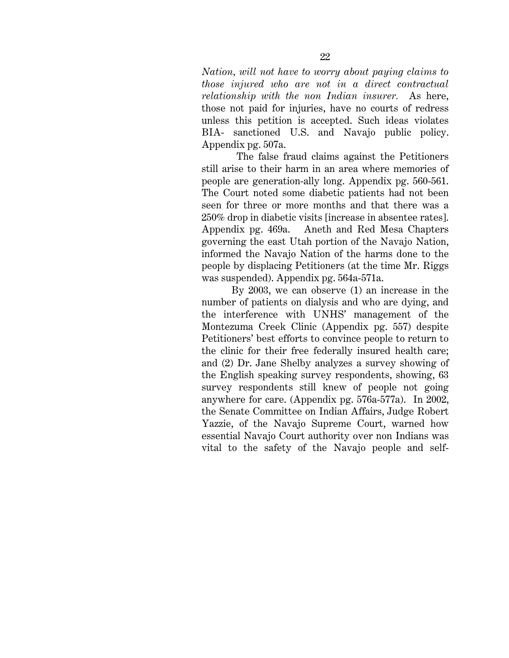*Nation, will not have to worry about paying claims to those injured who are not in a direct contractual relationship with the non Indian insurer.* As here, those not paid for injuries, have no courts of redress unless this petition is accepted. Such ideas violates BIA- sanctioned U.S. and Navajo public policy. Appendix pg. 507a.

 The false fraud claims against the Petitioners still arise to their harm in an area where memories of people are generation-ally long. Appendix pg. 560-561. The Court noted some diabetic patients had not been seen for three or more months and that there was a 250% drop in diabetic visits [increase in absentee rates]. Appendix pg. 469a. Aneth and Red Mesa Chapters governing the east Utah portion of the Navajo Nation, informed the Navajo Nation of the harms done to the people by displacing Petitioners (at the time Mr. Riggs was suspended). Appendix pg. 564a-571a.

By 2003, we can observe (1) an increase in the number of patients on dialysis and who are dying, and the interference with UNHS' management of the Montezuma Creek Clinic (Appendix pg. 557) despite Petitioners' best efforts to convince people to return to the clinic for their free federally insured health care; and (2) Dr. Jane Shelby analyzes a survey showing of the English speaking survey respondents, showing, 63 survey respondents still knew of people not going anywhere for care. (Appendix pg. 576a-577a). In 2002, the Senate Committee on Indian Affairs, Judge Robert Yazzie, of the Navajo Supreme Court, warned how essential Navajo Court authority over non Indians was vital to the safety of the Navajo people and self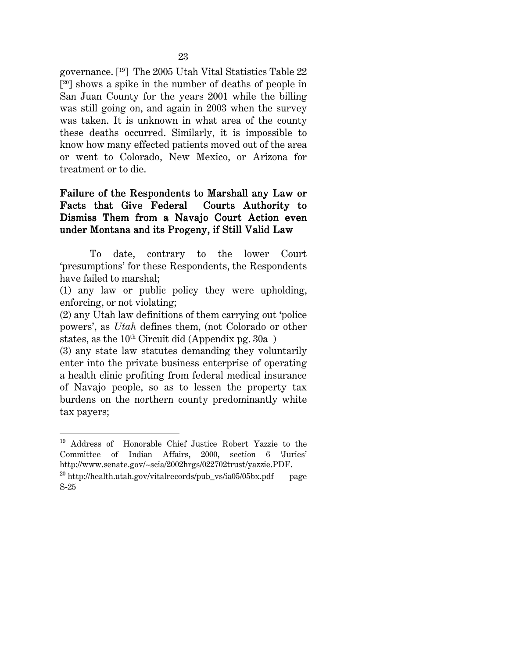governance. [19] The 2005 Utah Vital Statistics Table 22  $[20]$  shows a spike in the number of deaths of people in San Juan County for the years 2001 while the billing was still going on, and again in 2003 when the survey was taken. It is unknown in what area of the county these deaths occurred. Similarly, it is impossible to know how many effected patients moved out of the area or went to Colorado, New Mexico, or Arizona for treatment or to die.

#### Failure of the Respondents to Marshall any Law or Facts that Give Federal Courts Authority to Dismiss Them from a Navajo Court Action even under Montana and its Progeny, if Still Valid Law

 To date, contrary to the lower Court 'presumptions' for these Respondents, the Respondents have failed to marshal;

(1) any law or public policy they were upholding, enforcing, or not violating;

(2) any Utah law definitions of them carrying out 'police powers', as *Utah* defines them, (not Colorado or other states, as the  $10^{th}$  Circuit did (Appendix pg. 30a)

(3) any state law statutes demanding they voluntarily enter into the private business enterprise of operating a health clinic profiting from federal medical insurance of Navajo people, so as to lessen the property tax burdens on the northern county predominantly white tax payers;

 $\overline{a}$ 

<sup>19</sup> Address of Honorable Chief Justice Robert Yazzie to the Committee of Indian Affairs, 2000, section 6 'Juries' http://www.senate.gov/~scia/2002hrgs/022702trust/yazzie.PDF.

<sup>&</sup>lt;sup>20</sup> http://health.utah.gov/vitalrecords/pub\_vs/ia05/05bx.pdf page S-25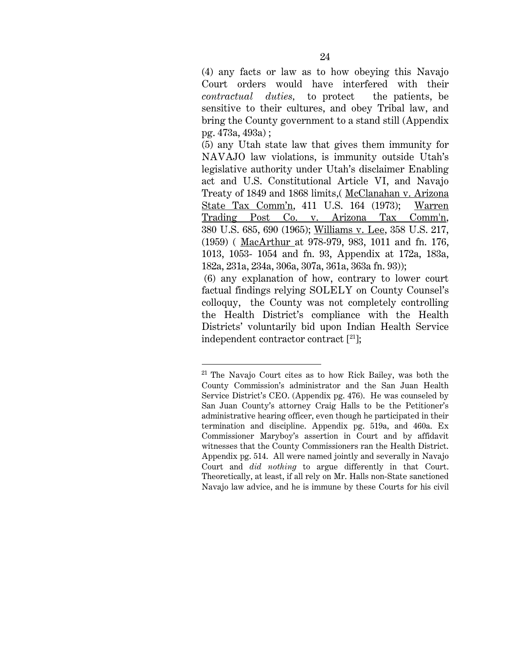(4) any facts or law as to how obeying this Navajo Court orders would have interfered with their *contractual duties,* to protect the patients, be sensitive to their cultures, and obey Tribal law, and bring the County government to a stand still (Appendix pg. 473a, 493a) ;

(5) any Utah state law that gives them immunity for NAVAJO law violations, is immunity outside Utah's legislative authority under Utah's disclaimer Enabling act and U.S. Constitutional Article VI, and Navajo Treaty of 1849 and 1868 limits,( McClanahan v. Arizona State Tax Comm'n, 411 U.S. 164 (1973); Warren Trading Post Co. v. Arizona Tax Comm'n, 380 U.S. 685, 690 (1965); Williams v. Lee, 358 U.S. 217, (1959) ( MacArthur at 978-979, 983, 1011 and fn. 176, 1013, 1053- 1054 and fn. 93, Appendix at 172a, 183a, 182a, 231a, 234a, 306a, 307a, 361a, 363a fn. 93));

 (6) any explanation of how, contrary to lower court factual findings relying SOLELY on County Counsel's colloquy, the County was not completely controlling the Health District's compliance with the Health Districts' voluntarily bid upon Indian Health Service independent contractor contract [21];

l

<sup>21</sup> The Navajo Court cites as to how Rick Bailey, was both the County Commission's administrator and the San Juan Health Service District's CEO. (Appendix pg. 476). He was counseled by San Juan County's attorney Craig Halls to be the Petitioner's administrative hearing officer, even though he participated in their termination and discipline. Appendix pg. 519a, and 460a. Ex Commissioner Maryboy's assertion in Court and by affidavit witnesses that the County Commissioners ran the Health District. Appendix pg. 514. All were named jointly and severally in Navajo Court and *did nothing* to argue differently in that Court. Theoretically, at least, if all rely on Mr. Halls non-State sanctioned Navajo law advice, and he is immune by these Courts for his civil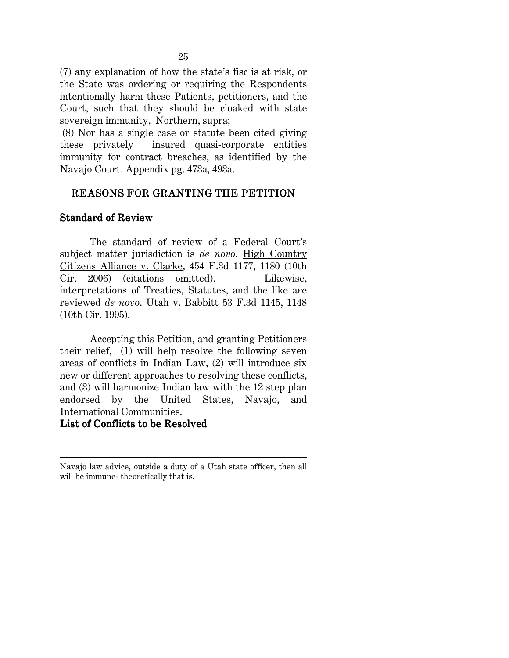(7) any explanation of how the state's fisc is at risk, or the State was ordering or requiring the Respondents intentionally harm these Patients, petitioners, and the Court, such that they should be cloaked with state sovereign immunity, Northern, supra;

 (8) Nor has a single case or statute been cited giving these privately insured quasi-corporate entities immunity for contract breaches, as identified by the Navajo Court. Appendix pg. 473a, 493a.

# REASONS FOR GRANTING THE PETITION

#### Standard of Review

The standard of review of a Federal Court's subject matter jurisdiction is *de novo*. High Country Citizens Alliance v. Clarke, 454 F.3d 1177, 1180 (10th Cir. 2006) (citations omitted). Likewise, interpretations of Treaties, Statutes, and the like are reviewed *de novo*. Utah v. Babbitt 53 F.3d 1145, 1148 (10th Cir. 1995).

Accepting this Petition, and granting Petitioners their relief, (1) will help resolve the following seven areas of conflicts in Indian Law, (2) will introduce six new or different approaches to resolving these conflicts, and (3) will harmonize Indian law with the 12 step plan endorsed by the United States, Navajo, and International Communities.

## List of Conflicts to be Resolved

 $\overline{\phantom{a}}$ 

Navajo law advice, outside a duty of a Utah state officer, then all will be immune- theoretically that is.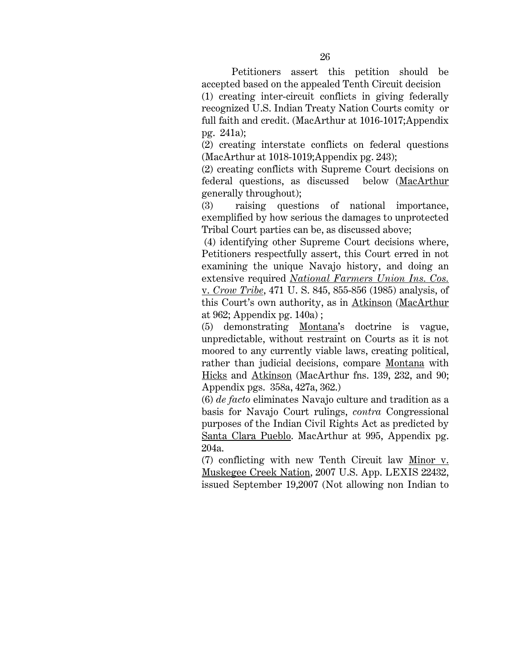Petitioners assert this petition should be accepted based on the appealed Tenth Circuit decision

(1) creating inter-circuit conflicts in giving federally recognized U.S. Indian Treaty Nation Courts comity or full faith and credit. (MacArthur at 1016-1017;Appendix pg. 241a);

(2) creating interstate conflicts on federal questions (MacArthur at 1018-1019;Appendix pg. 243);

(2) creating conflicts with Supreme Court decisions on federal questions, as discussed below (MacArthur generally throughout);

(3) raising questions of national importance, exemplified by how serious the damages to unprotected Tribal Court parties can be, as discussed above;

 (4) identifying other Supreme Court decisions where, Petitioners respectfully assert, this Court erred in not examining the unique Navajo history, and doing an extensive required *National Farmers Union Ins. Cos.* v. *Crow Tribe*, 471 U. S. 845, 855-856 (1985) analysis, of this Court's own authority, as in Atkinson (MacArthur at 962; Appendix pg. 140a) ;

(5) demonstrating Montana's doctrine is vague, unpredictable, without restraint on Courts as it is not moored to any currently viable laws, creating political, rather than judicial decisions, compare Montana with Hicks and Atkinson (MacArthur fns. 139, 232, and 90; Appendix pgs. 358a, 427a, 362.)

(6) *de facto* eliminates Navajo culture and tradition as a basis for Navajo Court rulings, *contra* Congressional purposes of the Indian Civil Rights Act as predicted by Santa Clara Pueblo. MacArthur at 995, Appendix pg. 204a.

(7) conflicting with new Tenth Circuit law Minor v. Muskegee Creek Nation, 2007 U.S. App. LEXIS 22432, issued September 19,2007 (Not allowing non Indian to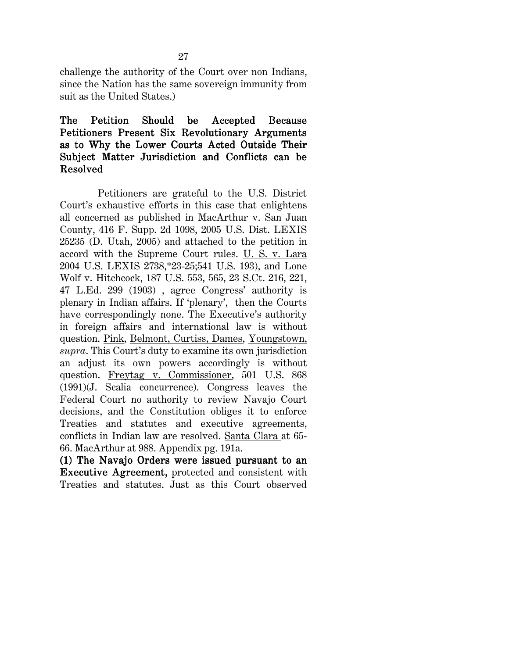challenge the authority of the Court over non Indians, since the Nation has the same sovereign immunity from suit as the United States.)

#### The Petition Should be Accepted Because Petitioners Present Six Revolutionary Arguments as to Why the Lower Courts Acted Outside Their Subject Matter Jurisdiction and Conflicts can be **Resolved**

 Petitioners are grateful to the U.S. District Court's exhaustive efforts in this case that enlightens all concerned as published in MacArthur v. San Juan County, 416 F. Supp. 2d 1098, 2005 U.S. Dist. LEXIS 25235 (D. Utah, 2005) and attached to the petition in accord with the Supreme Court rules. U. S. v. Lara 2004 U.S. LEXIS 2738,\*23-25;541 U.S. 193), and Lone Wolf v. Hitchcock, 187 U.S. 553, 565, 23 S.Ct. 216, 221, 47 L.Ed. 299 (1903) , agree Congress' authority is plenary in Indian affairs. If 'plenary', then the Courts have correspondingly none. The Executive's authority in foreign affairs and international law is without question. Pink, Belmont, Curtiss, Dames, Youngstown, *supra*. This Court's duty to examine its own jurisdiction an adjust its own powers accordingly is without question. Freytag v. Commissioner, 501 U.S. 868 (1991)(J. Scalia concurrence). Congress leaves the Federal Court no authority to review Navajo Court decisions, and the Constitution obliges it to enforce Treaties and statutes and executive agreements, conflicts in Indian law are resolved. Santa Clara at 65- 66. MacArthur at 988. Appendix pg. 191a.

 $(1)$  The Navajo Orders were issued pursuant to an Executive Agreement, protected and consistent with Treaties and statutes. Just as this Court observed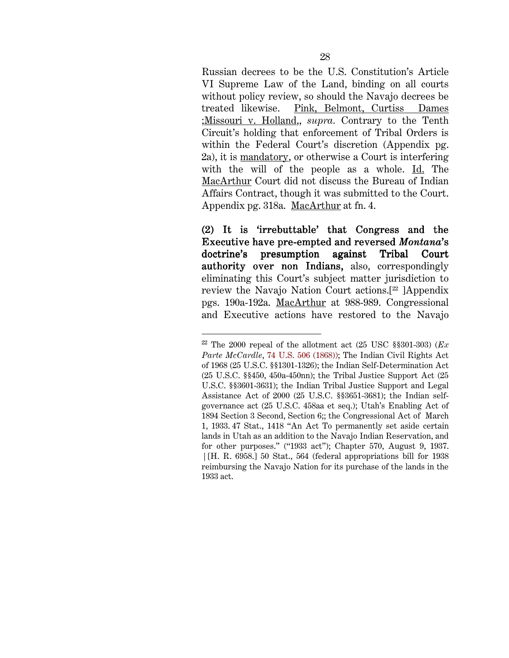Russian decrees to be the U.S. Constitution's Article VI Supreme Law of the Land, binding on all courts without policy review, so should the Navajo decrees be treated likewise. Pink, Belmont, Curtiss Dames ;Missouri v. Holland,, *supra.* Contrary to the Tenth Circuit's holding that enforcement of Tribal Orders is within the Federal Court's discretion (Appendix pg. 2a), it is mandatory, or otherwise a Court is interfering with the will of the people as a whole. Id. The MacArthur Court did not discuss the Bureau of Indian Affairs Contract, though it was submitted to the Court. Appendix pg. 318a. MacArthur at fn. 4.

(2) It is 'irrebuttable' that Congress and the (2) It is 'irrebuttable' that Congress and the Executive have pre-empted and reversed *Montana*'s doctrine's presumption against Tribal Court authority over non Indians, also, correspondingly eliminating this Court's subject matter jurisdiction to review the Navajo Nation Court actions.[22 ]Appendix pgs. 190a-192a. MacArthur at 988-989. Congressional and Executive actions have restored to the Navajo

 $\overline{a}$ 

 $22$  The 2000 repeal of the allotment act (25 USC §§301-303) ( $Ex$ ) *Parte McCardle*, 74 U.S. 506 (1868)); The Indian Civil Rights Act of 1968 (25 U.S.C. §§1301-1326); the Indian Self-Determination Act (25 U.S.C. §§450, 450a-450nn); the Tribal Justice Support Act (25 U.S.C. §§3601-3631); the Indian Tribal Justice Support and Legal Assistance Act of 2000 (25 U.S.C. §§3651-3681); the Indian selfgovernance act (25 U.S.C. 458aa et seq.); Utah's Enabling Act of 1894 Section 3 Second, Section 6;; the Congressional Act of March 1, 1933. 47 Stat., 1418 "An Act To permanently set aside certain lands in Utah as an addition to the Navajo Indian Reservation, and for other purposes." ("1933 act"); Chapter 570, August 9, 1937. | [H. R. 6958.] 50 Stat., 564 (federal appropriations bill for 1938 reimbursing the Navajo Nation for its purchase of the lands in the 1933 act.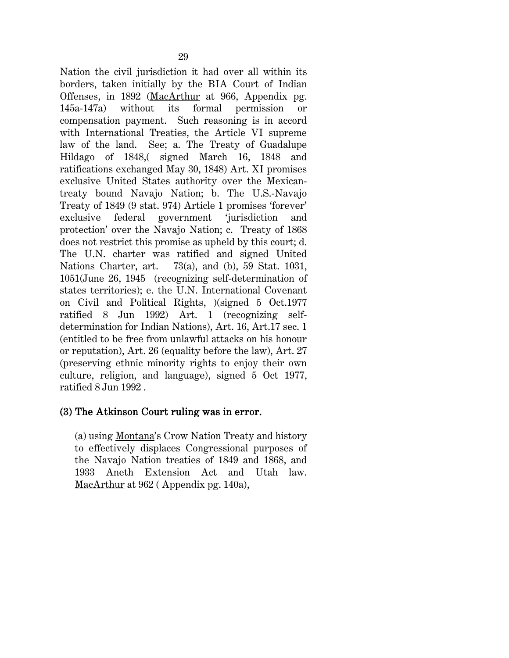Nation the civil jurisdiction it had over all within its borders, taken initially by the BIA Court of Indian Offenses, in 1892 (MacArthur at 966, Appendix pg. 145a-147a) without its formal permission or compensation payment. Such reasoning is in accord with International Treaties, the Article VI supreme law of the land. See; a. The Treaty of Guadalupe Hildago of 1848,( signed March 16, 1848 and ratifications exchanged May 30, 1848) Art. XI promises exclusive United States authority over the Mexicantreaty bound Navajo Nation; b. The U.S.-Navajo Treaty of 1849 (9 stat. 974) Article 1 promises 'forever' exclusive federal government 'jurisdiction and protection' over the Navajo Nation; c. Treaty of 1868 does not restrict this promise as upheld by this court; d. The U.N. charter was ratified and signed United Nations Charter, art. 73(a), and (b), 59 Stat. 1031, 1051(June 26, 1945 (recognizing self-determination of states territories); e. the U.N. International Covenant on Civil and Political Rights, )(signed 5 Oct.1977 ratified 8 Jun 1992) Art. 1 (recognizing selfdetermination for Indian Nations), Art. 16, Art.17 sec. 1 (entitled to be free from unlawful attacks on his honour or reputation), Art. 26 (equality before the law), Art. 27 (preserving ethnic minority rights to enjoy their own culture, religion, and language), signed 5 Oct 1977, ratified 8 Jun 1992 .

#### (3) The  $Atkinson Court ruling was in error.$

(a) using Montana's Crow Nation Treaty and history to effectively displaces Congressional purposes of the Navajo Nation treaties of 1849 and 1868, and 1933 Aneth Extension Act and Utah law. MacArthur at 962 (Appendix pg. 140a),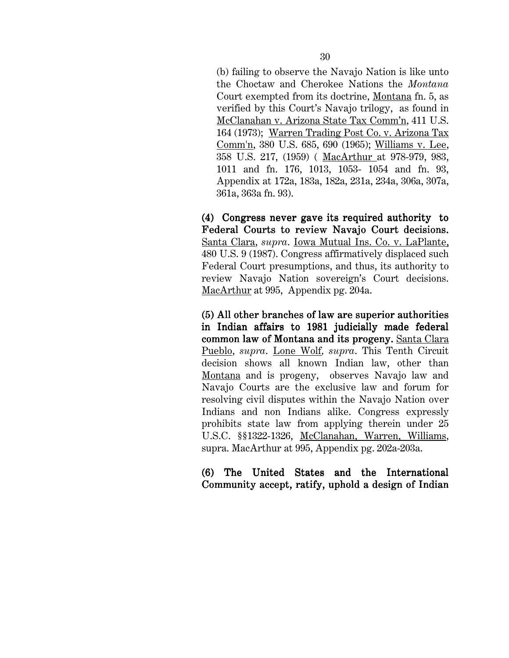(b) failing to observe the Navajo Nation is like unto the Choctaw and Cherokee Nations the *Montana* Court exempted from its doctrine, Montana fn. 5, as verified by this Court's Navajo trilogy, as found in McClanahan v. Arizona State Tax Comm'n, 411 U.S. 164 (1973); Warren Trading Post Co. v. Arizona Tax Comm'n, 380 U.S. 685, 690 (1965); Williams v. Lee, 358 U.S. 217, (1959) ( MacArthur at 978-979, 983, 1011 and fn. 176, 1013, 1053- 1054 and fn. 93, Appendix at 172a, 183a, 182a, 231a, 234a, 306a, 307a, 361a, 363a fn. 93).

 $(4)$  Congress never gave its required authority to Federal Courts to review Navajo Court decisions. Santa Clara, *supra*. Iowa Mutual Ins. Co. v. LaPlante, 480 U.S. 9 (1987). Congress affirmatively displaced such Federal Court presumptions, and thus, its authority to review Navajo Nation sovereign's Court decisions. MacArthur at 995, Appendix pg. 204a.

 $(5)$  All other branches of law are superior authorities in Indian affairs to 1981 judicially made federal common law of Montana and its progeny. Santa Clara Pueblo, *supra*. Lone Wolf*, supra*. This Tenth Circuit decision shows all known Indian law, other than Montana and is progeny, observes Navajo law and Navajo Courts are the exclusive law and forum for resolving civil disputes within the Navajo Nation over Indians and non Indians alike. Congress expressly prohibits state law from applying therein under 25 U.S.C. §§1322-1326, McClanahan, Warren, Williams, supra. MacArthur at 995, Appendix pg. 202a-203a.

#### (6) The United States and the International (6) The United States and the International Community accept, ratify, uphold a design of Indian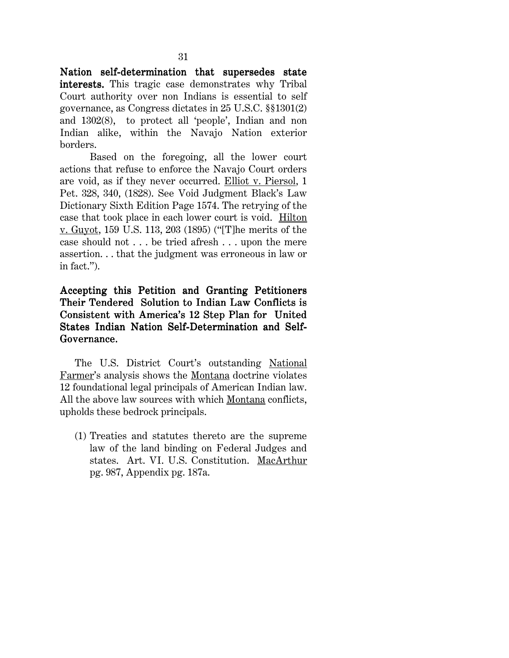Nation self-determination that supersedes state interests. This tragic case demonstrates why Tribal Court authority over non Indians is essential to self governance, as Congress dictates in 25 U.S.C. §§1301(2) and 1302(8), to protect all 'people', Indian and non Indian alike, within the Navajo Nation exterior borders.

Based on the foregoing, all the lower court actions that refuse to enforce the Navajo Court orders are void, as if they never occurred. Elliot v. Piersol, 1 Pet. 328, 340, (1828). See Void Judgment Black's Law Dictionary Sixth Edition Page 1574. The retrying of the case that took place in each lower court is void. Hilton v. Guyot, 159 U.S. 113, 203 (1895) ("[T]he merits of the case should not . . . be tried afresh . . . upon the mere assertion. . . that the judgment was erroneous in law or in fact.").

Accepting this Petition and Granting Petitioners Their Tendered Solution to Indian Law Conflicts is Consistent with America's 12 Step Plan for United States Indian Nation Self-Determination and Self-Governance.

The U.S. District Court's outstanding National Farmer's analysis shows the Montana doctrine violates 12 foundational legal principals of American Indian law. All the above law sources with which Montana conflicts, upholds these bedrock principals.

(1) Treaties and statutes thereto are the supreme law of the land binding on Federal Judges and states. Art. VI. U.S. Constitution. MacArthur pg. 987, Appendix pg. 187a.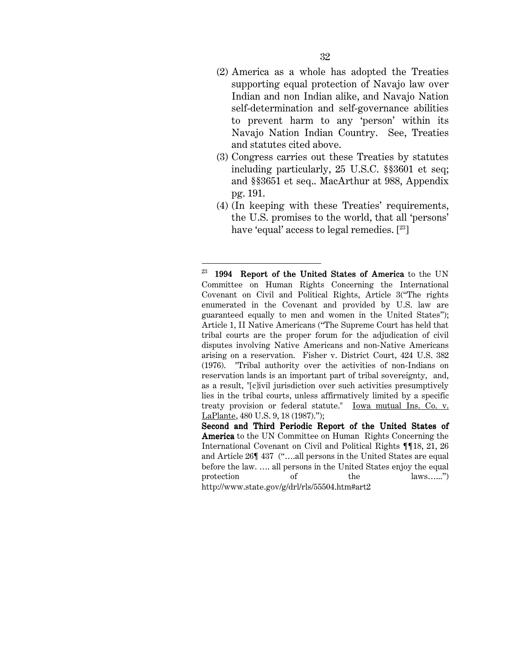- (2) America as a whole has adopted the Treaties supporting equal protection of Navajo law over Indian and non Indian alike, and Navajo Nation self-determination and self-governance abilities to prevent harm to any 'person' within its Navajo Nation Indian Country. See, Treaties and statutes cited above.
- (3) Congress carries out these Treaties by statutes including particularly, 25 U.S.C. §§3601 et seq; and §§3651 et seq.. MacArthur at 988, Appendix pg. 191.
- (4) (In keeping with these Treaties' requirements, the U.S. promises to the world, that all 'persons' have 'equal' access to legal remedies. [<sup>23</sup>]

 $\overline{\phantom{a}}$ 

 $23$  1994 Report of the United States of America to the UN Committee on Human Rights Concerning the International Covenant on Civil and Political Rights, Article 3("The rights enumerated in the Covenant and provided by U.S. law are guaranteed equally to men and women in the United States"); Article 1, II Native Americans ("The Supreme Court has held that tribal courts are the proper forum for the adjudication of civil disputes involving Native Americans and non-Native Americans arising on a reservation. Fisher v. District Court, 424 U.S. 382 (1976). "Tribal authority over the activities of non-Indians on reservation lands is an important part of tribal sovereignty, and, as a result, "[c]ivil jurisdiction over such activities presumptively lies in the tribal courts, unless affirmatively limited by a specific treaty provision or federal statute." Iowa mutual Ins. Co. v. LaPlante, 480 U.S. 9, 18 (1987).");

Second and Third Periodic Report of the United States of America to the UN Committee on Human Rights Concerning the International Covenant on Civil and Political Rights ¶¶18, 21, 26 and Article 26¶ 437 ("….all persons in the United States are equal before the law. …. all persons in the United States enjoy the equal protection of the laws.......") http://www.state.gov/g/drl/rls/55504.htm#art2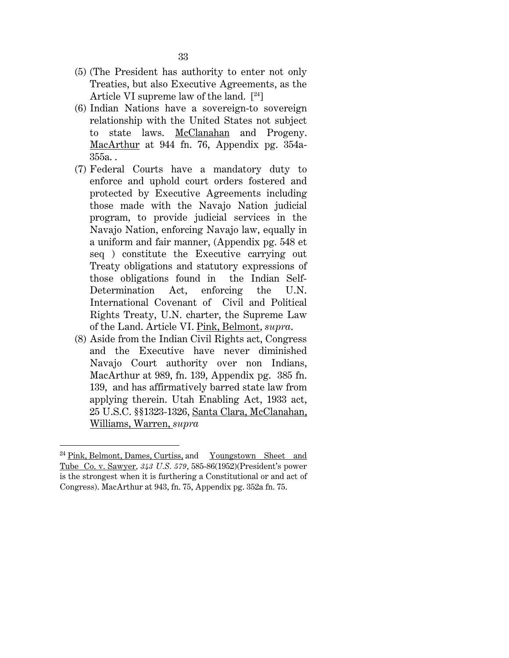- (5) (The President has authority to enter not only Treaties, but also Executive Agreements, as the Article VI supreme law of the land.  $[24]$
- (6) Indian Nations have a sovereign-to sovereign relationship with the United States not subject to state laws. McClanahan and Progeny. MacArthur at 944 fn. 76, Appendix pg. 354a-355a. .
- (7) Federal Courts have a mandatory duty to enforce and uphold court orders fostered and protected by Executive Agreements including those made with the Navajo Nation judicial program, to provide judicial services in the Navajo Nation, enforcing Navajo law, equally in a uniform and fair manner, (Appendix pg. 548 et seq ) constitute the Executive carrying out Treaty obligations and statutory expressions of those obligations found in the Indian Self-Determination Act, enforcing the U.N. International Covenant of Civil and Political Rights Treaty, U.N. charter, the Supreme Law of the Land. Article VI. Pink, Belmont, *supra*.
- (8) Aside from the Indian Civil Rights act, Congress and the Executive have never diminished Navajo Court authority over non Indians, MacArthur at 989, fn. 139, Appendix pg. 385 fn. 139, and has affirmatively barred state law from applying therein. Utah Enabling Act, 1933 act, 25 U.S.C. §§1323-1326, Santa Clara, McClanahan, Williams, Warren, *supra*

 $\overline{\phantom{a}}$ 

<sup>&</sup>lt;sup>24</sup> Pink, Belmont, Dames, Curtiss, and Youngstown Sheet and Tube Co. v. Sawyer*, 343 U.S. 579*, 585-86(1952)(President's power is the strongest when it is furthering a Constitutional or and act of Congress). MacArthur at 943, fn. 75, Appendix pg. 352a fn. 75.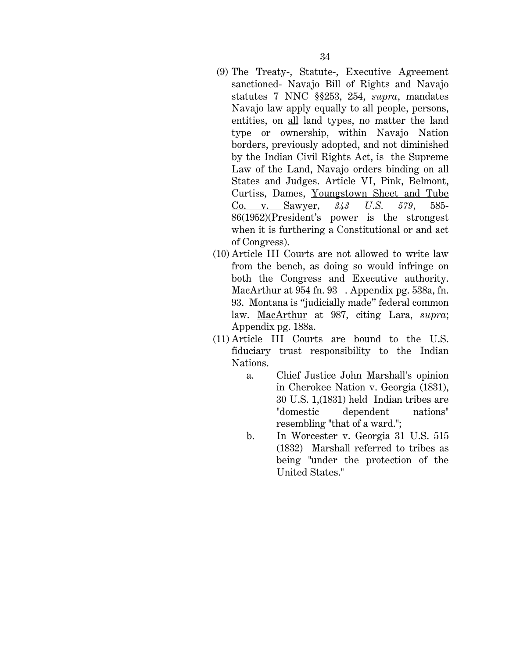- (9) The Treaty-, Statute-, Executive Agreement sanctioned- Navajo Bill of Rights and Navajo statutes 7 NNC §§253, 254, *supra*, mandates Navajo law apply equally to all people, persons, entities, on all land types, no matter the land type or ownership, within Navajo Nation borders, previously adopted, and not diminished by the Indian Civil Rights Act, is the Supreme Law of the Land, Navajo orders binding on all States and Judges. Article VI, Pink, Belmont, Curtiss, Dames, Youngstown Sheet and Tube Co. v. Sawyer*, 343 U.S. 579*, 585- 86(1952)(President's power is the strongest when it is furthering a Constitutional or and act of Congress).
- (10) Article III Courts are not allowed to write law from the bench, as doing so would infringe on both the Congress and Executive authority. MacArthur at 954 fn. 93 . Appendix pg. 538a, fn. 93. Montana is "judicially made" federal common law. MacArthur at 987, citing Lara, *supra*; Appendix pg. 188a.
- (11) Article III Courts are bound to the U.S. fiduciary trust responsibility to the Indian Nations.
	- a. Chief Justice John Marshall's opinion in Cherokee Nation v. Georgia (1831), 30 U.S. 1,(1831) held Indian tribes are "domestic dependent nations" resembling "that of a ward.";
	- b. In Worcester v. Georgia 31 U.S. 515 (1832) Marshall referred to tribes as being "under the protection of the United States."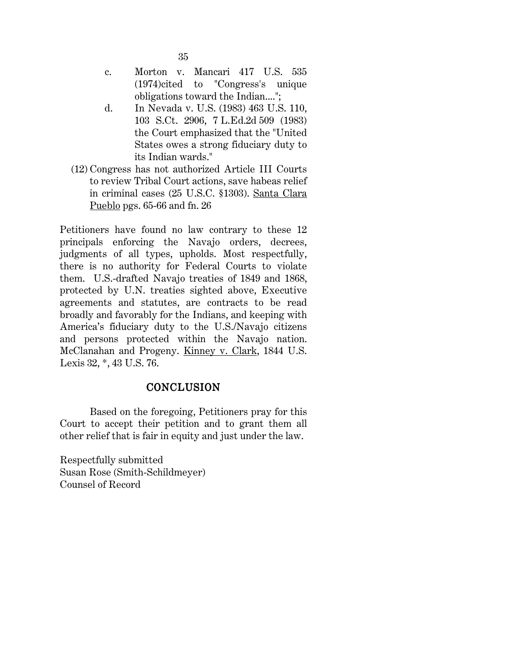- c. Morton v. Mancari 417 U.S. 535 (1974)cited to "Congress's unique obligations toward the Indian....";
- d. In Nevada v. U.S. (1983) 463 U.S. 110, 103 S.Ct. 2906, 7 L.Ed.2d 509 (1983) the Court emphasized that the "United States owes a strong fiduciary duty to its Indian wards."
- (12) Congress has not authorized Article III Courts to review Tribal Court actions, save habeas relief in criminal cases (25 U.S.C. §1303). Santa Clara Pueblo pgs. 65-66 and fn. 26

Petitioners have found no law contrary to these 12 principals enforcing the Navajo orders, decrees, judgments of all types, upholds. Most respectfully, there is no authority for Federal Courts to violate them. U.S.-drafted Navajo treaties of 1849 and 1868, protected by U.N. treaties sighted above, Executive agreements and statutes, are contracts to be read broadly and favorably for the Indians, and keeping with America's fiduciary duty to the U.S./Navajo citizens and persons protected within the Navajo nation. McClanahan and Progeny. Kinney v. Clark, 1844 U.S. Lexis 32, \*, 43 U.S. 76.

## **CONCLUSION**

Based on the foregoing, Petitioners pray for this Court to accept their petition and to grant them all other relief that is fair in equity and just under the law.

Respectfully submitted Susan Rose (Smith-Schildmeyer) Counsel of Record